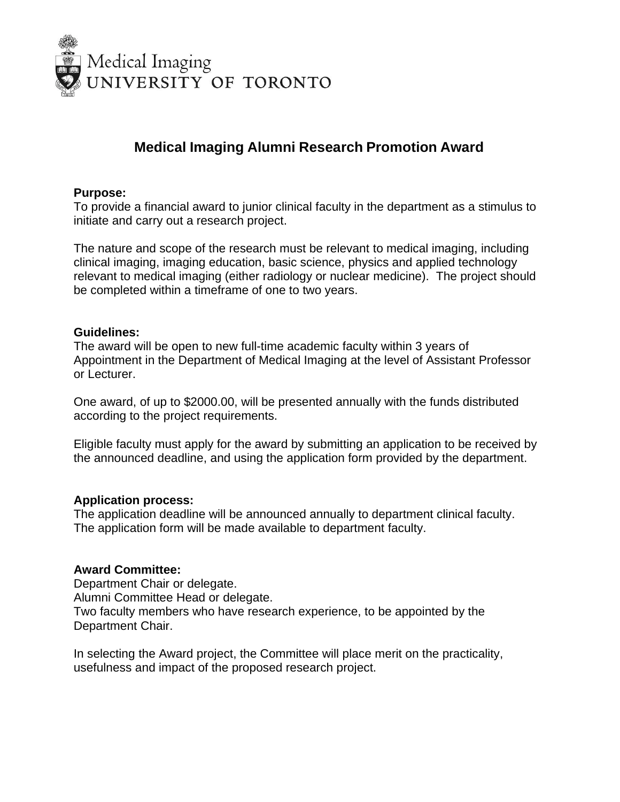

# **Medical Imaging Alumni Research Promotion Award**

### **Purpose:**

To provide a financial award to junior clinical faculty in the department as a stimulus to initiate and carry out a research project.

The nature and scope of the research must be relevant to medical imaging, including clinical imaging, imaging education, basic science, physics and applied technology relevant to medical imaging (either radiology or nuclear medicine). The project should be completed within a timeframe of one to two years.

### **Guidelines:**

The award will be open to new full-time academic faculty within 3 years of Appointment in the Department of Medical Imaging at the level of Assistant Professor or Lecturer.

One award, of up to \$2000.00, will be presented annually with the funds distributed according to the project requirements.

Eligible faculty must apply for the award by submitting an application to be received by the announced deadline, and using the application form provided by the department.

### **Application process:**

The application deadline will be announced annually to department clinical faculty. The application form will be made available to department faculty.

## **Award Committee:**

Department Chair or delegate. Alumni Committee Head or delegate. Two faculty members who have research experience, to be appointed by the Department Chair.

In selecting the Award project, the Committee will place merit on the practicality, usefulness and impact of the proposed research project.